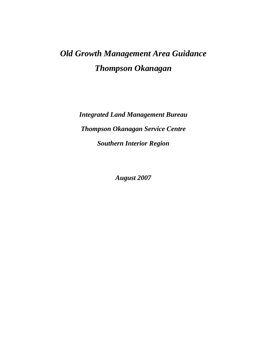*Integrated Land Management Bureau Thompson Okanagan Service Centre Southern Interior Region* 

*August 2007*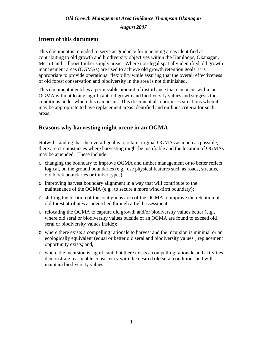*August 2007* 

## **Intent of this document**

This document is intended to serve as guidance for managing areas identified as contributing to old growth and biodiversity objectives within the Kamloops, Okanagan, Merritt and Lillooet timber supply areas. Where non-legal spatially identified old growth management areas (OGMAs) are used to achieve old growth retention goals, it is appropriate to provide operational flexibility while assuring that the overall effectiveness of old forest conservation and biodiversity in the area is not diminished.

This document identifies a permissible amount of disturbance that can occur within an OGMA without losing significant old growth and biodiversity values and suggests the conditions under which this can occur. This document also proposes situations when it may be appropriate to have replacement areas identified and outlines criteria for such areas.

# **Reasons why harvesting might occur in an OGMA**

Notwithstanding that the overall goal is to retain original OGMAs as much as possible, there are circumstances where harvesting might be justifiable and the location of OGMAs may be amended. These include:

- o changing the boundary to improve OGMA and timber management or to better reflect logical, on the ground boundaries (e.g., use physical features such as roads, streams, old block boundaries or timber types);
- o improving harvest boundary alignment in a way that will contribute to the maintenance of the OGMA (e.g., to secure a more wind-firm boundary);
- o shifting the location of the contiguous area of the OGMA to improve the retention of old forest attributes as identified through a field assessment;
- o relocating the OGMA to capture old growth and/or biodiversity values better (e.g., where old seral or biodiversity values outside of an OGMA are found to exceed old seral or biodiversity values inside);
- o where there exists a compelling rationale to harvest and the incursion is minimal or an ecologically equivalent (equal or better old seral and biodiversity values ) replacement opportunity exists; and,
- o where the incursion is significant, but there exists a compelling rationale and activities demonstrate reasonable consistency with the desired old seral conditions and will maintain biodiversity values.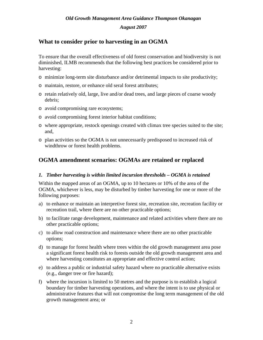#### *August 2007*

# **What to consider prior to harvesting in an OGMA**

To ensure that the overall effectiveness of old forest conservation and biodiversity is not diminished, ILMB recommends that the following best practices be considered prior to harvesting:

- o minimize long-term site disturbance and/or detrimental impacts to site productivity;
- o maintain, restore, or enhance old seral forest attributes;
- o retain relatively old, large, live and/or dead trees, and large pieces of coarse woody debris;
- o avoid compromising rare ecosystems;
- o avoid compromising forest interior habitat conditions;
- o where appropriate, restock openings created with climax tree species suited to the site; and,
- o plan activities so the OGMA is not unnecessarily predisposed to increased risk of windthrow or forest health problems.

# **OGMA amendment scenarios: OGMAs are retained or replaced**

#### *1. Timber harvesting is within limited incursion thresholds – OGMA is retained*

Within the mapped areas of an OGMA, up to 10 hectares or 10% of the area of the OGMA, whichever is less, may be disturbed by timber harvesting for one or more of the following purposes:

- a) to enhance or maintain an interpretive forest site, recreation site, recreation facility or recreation trail, where there are no other practicable options;
- b) to facilitate range development, maintenance and related activities where there are no other practicable options;
- c) to allow road construction and maintenance where there are no other practicable options;
- d) to manage for forest health where trees within the old growth management area pose a significant forest health risk to forests outside the old growth management area and where harvesting constitutes an appropriate and effective control action;
- e) to address a public or industrial safety hazard where no practicable alternative exists (e.g., danger tree or fire hazard);
- f) where the incursion is limited to 50 metres and the purpose is to establish a logical boundary for timber harvesting operations, and where the intent is to use physical or administrative features that will not compromise the long term management of the old growth management area; or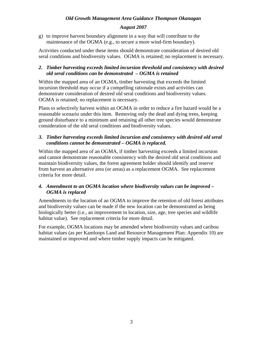#### *August 2007*

g) to improve harvest boundary alignment in a way that will contribute to the maintenance of the OGMA (e.g., to secure a more wind-firm boundary).

Activities conducted under these items should demonstrate consideration of desired old seral conditions and biodiversity values. OGMA is retained; no replacement is necessary.

#### *2. Timber harvesting exceeds limited incursion threshold and consistency with desired old seral conditions can be demonstrated – OGMA is retained*

Within the mapped area of an OGMA, timber harvesting that exceeds the limited incursion threshold may occur if a compelling rationale exists and activities can demonstrate consideration of desired old seral conditions and biodiversity values. OGMA is retained; no replacement is necessary.

Plans to selectively harvest within an OGMA in order to reduce a fire hazard would be a reasonable scenario under this item. Removing only the dead and dying trees, keeping ground disturbance to a minimum and retaining all other tree species would demonstrate consideration of the old seral conditions and biodiversity values.

#### *3. Timber harvesting exceeds limited incursion and consistency with desired old seral conditions cannot be demonstrated – OGMA is replaced.*

Within the mapped area of an OGMA, if timber harvesting exceeds a limited incursion and cannot demonstrate reasonable consistency with the desired old seral conditions and maintain biodiversity values, the forest agreement holder should identify and reserve from harvest an alternative area (or areas) as a replacement OGMA. See replacement criteria for more detail.

#### *4. Amendment to an OGMA location where biodiversity values can be improved – OGMA is replaced*

Amendments to the location of an OGMA to improve the retention of old forest attributes and biodiversity values can be made if the new location can be demonstrated as being biologically better (i.e., an improvement in location, size, age, tree species and wildlife habitat value). See replacement criteria for more detail.

For example, OGMA locations may be amended where biodiversity values and caribou habitat values (as per Kamloops Land and Resource Management Plan: Appendix 10) are maintained or improved and where timber supply impacts can be mitigated.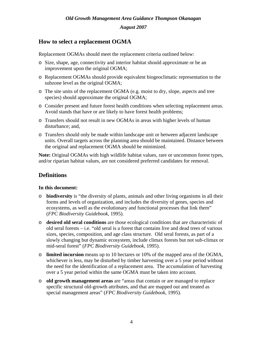*August 2007* 

# **How to select a replacement OGMA**

Replacement OGMAs should meet the replacement criteria outlined below:

- o Size, shape, age, connectivity and interior habitat should approximate or be an improvement upon the original OGMA;
- o Replacement OGMAs should provide equivalent biogeoclimatic representation to the subzone level as the original OGMA;
- o The site units of the replacement OGMA (e.g. moist to dry, slope, aspects and tree species) should approximate the original OGMA;
- o Consider present and future forest health conditions when selecting replacement areas. Avoid stands that have or are likely to have forest health problems;
- o Transfers should not result in new OGMAs in areas with higher levels of human disturbance; and,
- o Transfers should only be made within landscape unit or between adjacent landscape units. Overall targets across the planning area should be maintained. Distance between the original and replacement OGMA should be minimized.

**Note:** Original OGMAs with high wildlife habitat values, rare or uncommon forest types, and/or riparian habitat values, are not considered preferred candidates for removal.

# **Definitions**

#### **In this document:**

- o **biodiversity** is "the diversity of plants, animals and other living organisms in all their forms and levels of organization, and includes the diversity of genes, species and ecosystems, as well as the evolutionary and functional processes that link them" (*FPC Biodiversity Guidebook,* 1995).
- o **desired old seral conditions** are those ecological conditions that are characteristic of old seral forests  $-$  i.e. "old seral is a forest that contains live and dead trees of various sizes, species, composition, and age class structure. Old seral forests, as part of a slowly changing but dynamic ecosystem, include climax forests but not sub-climax or mid-seral forest" (*FPC Biodiversity Guidebook,* 1995).
- o **limited incursion** means up to 10 hectares or 10% of the mapped area of the OGMA, whichever is less, may be disturbed by timber harvesting over a 5 year period without the need for the identification of a replacement area. The accumulation of harvesting over a 5 year period within the same OGMA must be taken into account.
- o **old growth management areas** are "areas that contain or are managed to replace specific structural old-growth attributes, and that are mapped out and treated as special management areas" (*FPC Biodiversity Guidebook,* 1995).